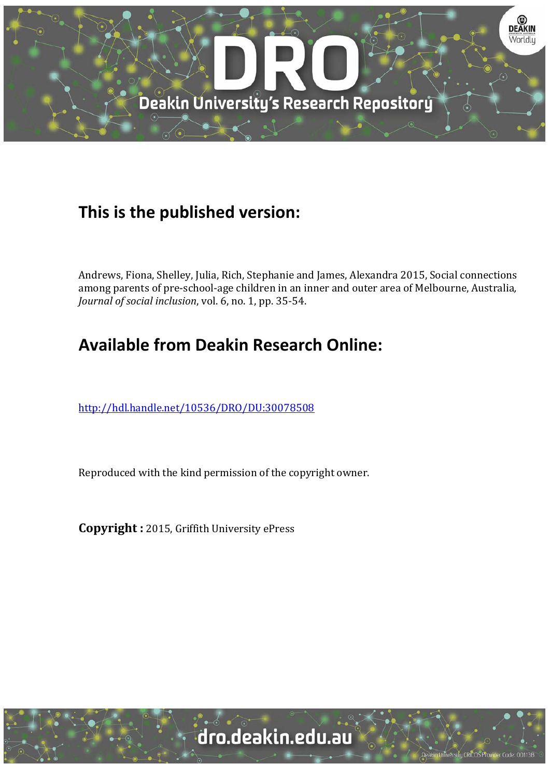

# **This is the published version:**

Andrews, Fiona, Shelley, Julia, Rich, Stephanie and James, Alexandra 2015, Social connections among parents of pre-school-age children in an inner and outer area of Melbourne, Australia, *Journal of social inclusion, vol.* 6, no. 1, pp. 35-54.

# **Available from Deakin Research Online:**

http://hdl.handle.net/10536/DRO/DU:30078508

Reproduced with the kind permission of the copyright owner.

**Copyright** : 2015, Griffith University ePress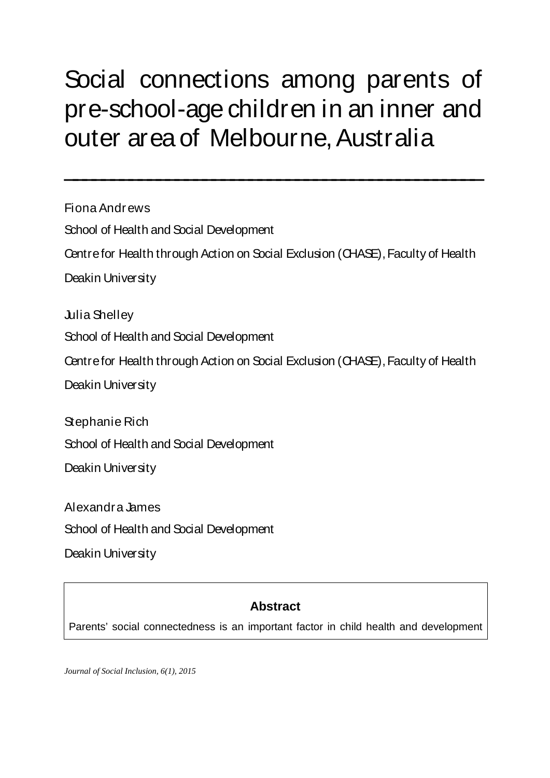# Social connections among parents of pre-school-age children in an inner and outer area of Melbourne, Australia

 $\overline{\phantom{a}}$  , and the contract of the contract of the contract of the contract of the contract of the contract of the contract of the contract of the contract of the contract of the contract of the contract of the contrac

Fiona Andrews School of Health and Social Development Centre for Health through Action on Social Exclusion (CHASE), Faculty of Health Deakin University Julia Shelley School of Health and Social Development Centre for Health through Action on Social Exclusion (CHASE), Faculty of Health Deakin University

Stephanie Rich

School of Health and Social Development

Deakin University

Alexandra James

School of Health and Social Development

Deakin University

# **Abstract**

Parents' social connectedness is an important factor in child health and development

*Journal of Social Inclusion, 6(1), 2015*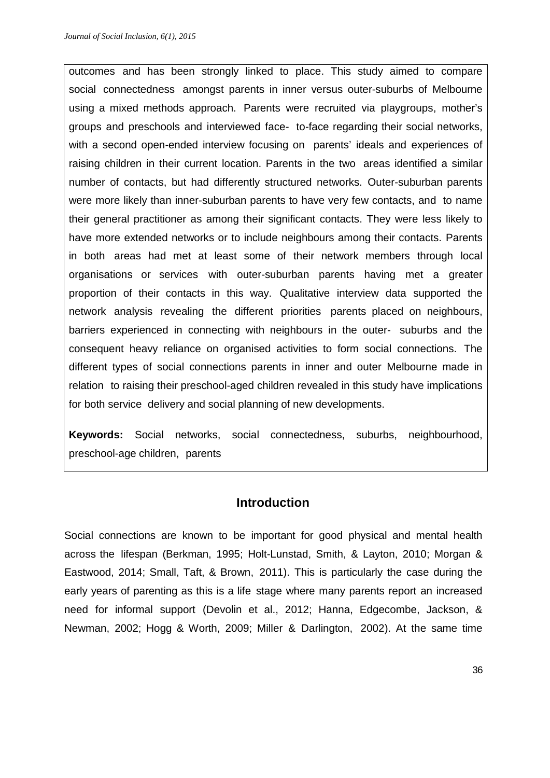outcomes and has been strongly linked to place. This study aimed to compare social connectedness amongst parents in inner versus outer-suburbs of Melbourne using a mixed methods approach. Parents were recruited via playgroups, mother's groups and preschools and interviewed face- to-face regarding their social networks, with a second open-ended interview focusing on parents' ideals and experiences of raising children in their current location. Parents in the two areas identified a similar number of contacts, but had differently structured networks. Outer-suburban parents were more likely than inner-suburban parents to have very few contacts, and to name their general practitioner as among their significant contacts. They were less likely to have more extended networks or to include neighbours among their contacts. Parents in both areas had met at least some of their network members through local organisations or services with outer-suburban parents having met a greater proportion of their contacts in this way. Qualitative interview data supported the network analysis revealing the different priorities parents placed on neighbours, barriers experienced in connecting with neighbours in the outer- suburbs and the consequent heavy reliance on organised activities to form social connections. The different types of social connections parents in inner and outer Melbourne made in relation to raising their preschool-aged children revealed in this study have implications for both service delivery and social planning of new developments.

**Keywords:** Social networks, social connectedness, suburbs, neighbourhood, preschool-age children, parents

# **Introduction**

Social connections are known to be important for good physical and mental health across the lifespan (Berkman, 1995; Holt-Lunstad, Smith, & Layton, 2010; Morgan & Eastwood, 2014; Small, Taft, & Brown, 2011). This is particularly the case during the early years of parenting as this is a life stage where many parents report an increased need for informal support (Devolin et al., 2012; Hanna, Edgecombe, Jackson, & Newman, 2002; Hogg & Worth, 2009; Miller & Darlington, 2002). At the same time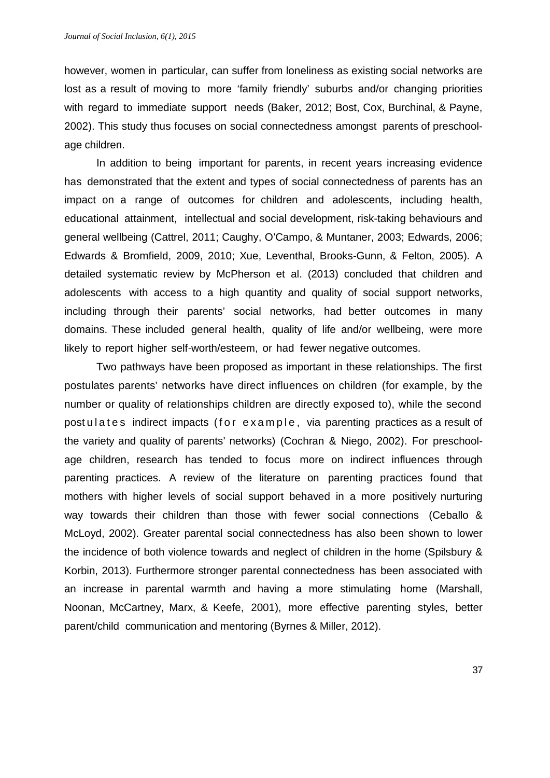however, women in particular, can suffer from loneliness as existing social networks are lost as a result of moving to more 'family friendly' suburbs and/or changing priorities with regard to immediate support needs (Baker, 2012; Bost, Cox, Burchinal, & Payne, 2002). This study thus focuses on social connectedness amongst parents of preschoolage children.

In addition to being important for parents, in recent years increasing evidence has demonstrated that the extent and types of social connectedness of parents has an impact on a range of outcomes for children and adolescents, including health, educational attainment, intellectual and social development, risk-taking behaviours and general wellbeing (Cattrel, 2011; Caughy, O'Campo, & Muntaner, 2003; Edwards, 2006; Edwards & Bromfield, 2009, 2010; Xue, Leventhal, Brooks-Gunn, & Felton, 2005). A detailed systematic review by McPherson et al. (2013) concluded that children and adolescents with access to a high quantity and quality of social support networks, including through their parents' social networks, had better outcomes in many domains. These included general health, quality of life and/or wellbeing, were more likely to report higher self-worth/esteem, or had fewer negative outcomes.

Two pathways have been proposed as important in these relationships. The first postulates parents' networks have direct influences on children (for example, by the number or quality of relationships children are directly exposed to), while the second post u lates indirect impacts (for example, via parenting practices as a result of the variety and quality of parents' networks) (Cochran & Niego, 2002). For preschoolage children, research has tended to focus more on indirect influences through parenting practices. A review of the literature on parenting practices found that mothers with higher levels of social support behaved in a more positively nurturing way towards their children than those with fewer social connections (Ceballo & McLoyd, 2002). Greater parental social connectedness has also been shown to lower the incidence of both violence towards and neglect of children in the home (Spilsbury & Korbin, 2013). Furthermore stronger parental connectedness has been associated with an increase in parental warmth and having a more stimulating home (Marshall, Noonan, McCartney, Marx, & Keefe, 2001), more effective parenting styles, better parent/child communication and mentoring (Byrnes & Miller, 2012).

37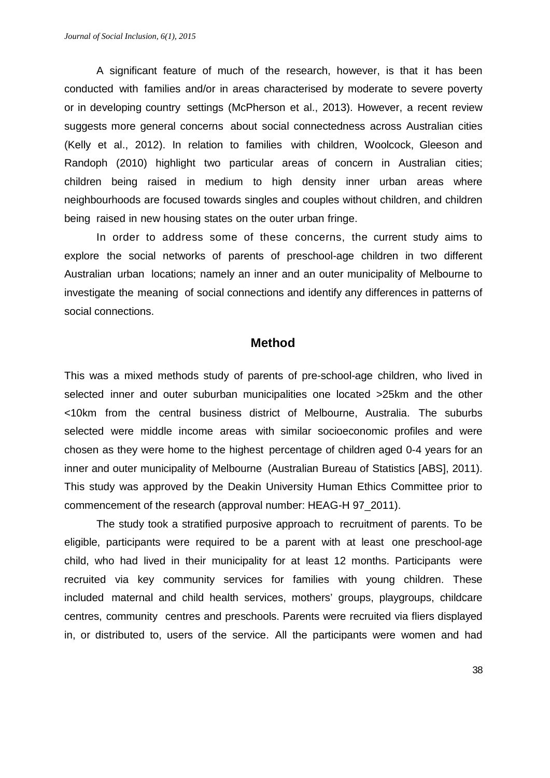A significant feature of much of the research, however, is that it has been conducted with families and/or in areas characterised by moderate to severe poverty or in developing country settings (McPherson et al., 2013). However, a recent review suggests more general concerns about social connectedness across Australian cities (Kelly et al., 2012). In relation to families with children, Woolcock, Gleeson and Randoph (2010) highlight two particular areas of concern in Australian cities; children being raised in medium to high density inner urban areas where neighbourhoods are focused towards singles and couples without children, and children being raised in new housing states on the outer urban fringe.

 In order to address some of these concerns, the current study aims to explore the social networks of parents of preschool-age children in two different Australian urban locations; namely an inner and an outer municipality of Melbourne to investigate the meaning of social connections and identify any differences in patterns of social connections.

#### **Method**

This was a mixed methods study of parents of pre-school-age children, who lived in selected inner and outer suburban municipalities one located >25km and the other <10km from the central business district of Melbourne, Australia. The suburbs selected were middle income areas with similar socioeconomic profiles and were chosen as they were home to the highest percentage of children aged 0-4 years for an inner and outer municipality of Melbourne (Australian Bureau of Statistics [ABS], 2011). This study was approved by the Deakin University Human Ethics Committee prior to commencement of the research (approval number: HEAG-H 97\_2011).

The study took a stratified purposive approach to recruitment of parents. To be eligible, participants were required to be a parent with at least one preschool-age child, who had lived in their municipality for at least 12 months. Participants were recruited via key community services for families with young children. These included maternal and child health services, mothers' groups, playgroups, childcare centres, community centres and preschools. Parents were recruited via fliers displayed in, or distributed to, users of the service. All the participants were women and had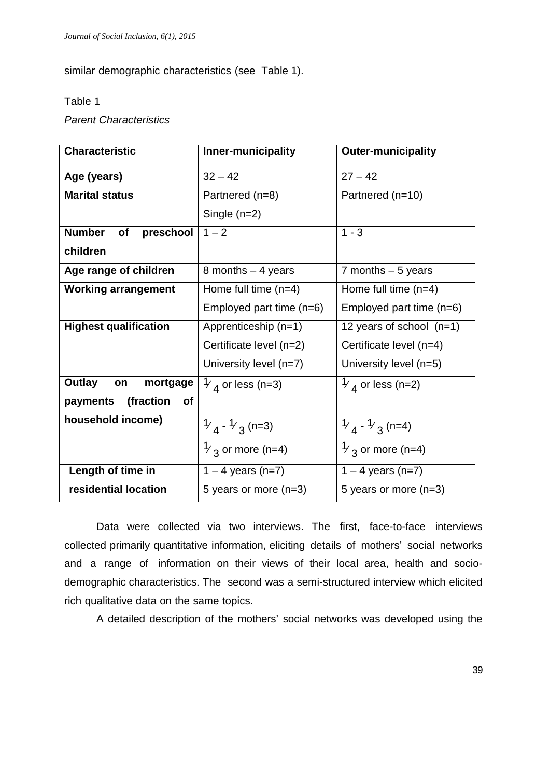similar demographic characteristics (see Table 1).

#### Table 1

# *Parent Characteristics*

| <b>Characteristic</b>              | Inner-municipality                  | <b>Outer-municipality</b>           |
|------------------------------------|-------------------------------------|-------------------------------------|
| Age (years)                        | $32 - 42$                           | $27 - 42$                           |
| <b>Marital status</b>              | Partnered (n=8)                     | Partnered (n=10)                    |
|                                    | Single $(n=2)$                      |                                     |
| <b>Number</b><br>of<br>preschool   | $1 - 2$                             | $1 - 3$                             |
| children                           |                                     |                                     |
| Age range of children              | 8 months $-4$ years                 | 7 months $-5$ years                 |
| <b>Working arrangement</b>         | Home full time $(n=4)$              | Home full time $(n=4)$              |
|                                    | Employed part time (n=6)            | Employed part time $(n=6)$          |
| <b>Highest qualification</b>       | Apprenticeship (n=1)                | 12 years of school $(n=1)$          |
|                                    | Certificate level (n=2)             | Certificate level (n=4)             |
|                                    | University level (n=7)              | University level (n=5)              |
| Outlay<br>mortgage<br>on           | $\mathcal{V}_4$ or less (n=3)       | $\frac{1}{4}$ or less (n=2)         |
| (fraction<br>payments<br><b>of</b> |                                     |                                     |
| household income)                  | $\frac{1}{4}$ - $\frac{1}{3}$ (n=3) | $\frac{1}{4}$ - $\frac{1}{3}$ (n=4) |
|                                    | $\frac{1}{3}$ or more (n=4)         | $\frac{1}{3}$ or more (n=4)         |
| Length of time in                  | $1 - 4$ years (n=7)                 | $1 - 4$ years (n=7)                 |
| residential location               | 5 years or more $(n=3)$             | 5 years or more $(n=3)$             |

Data were collected via two interviews. The first, face-to-face interviews collected primarily quantitative information, eliciting details of mothers' social networks and a range of information on their views of their local area, health and sociodemographic characteristics. The second was a semi-structured interview which elicited rich qualitative data on the same topics.

A detailed description of the mothers' social networks was developed using the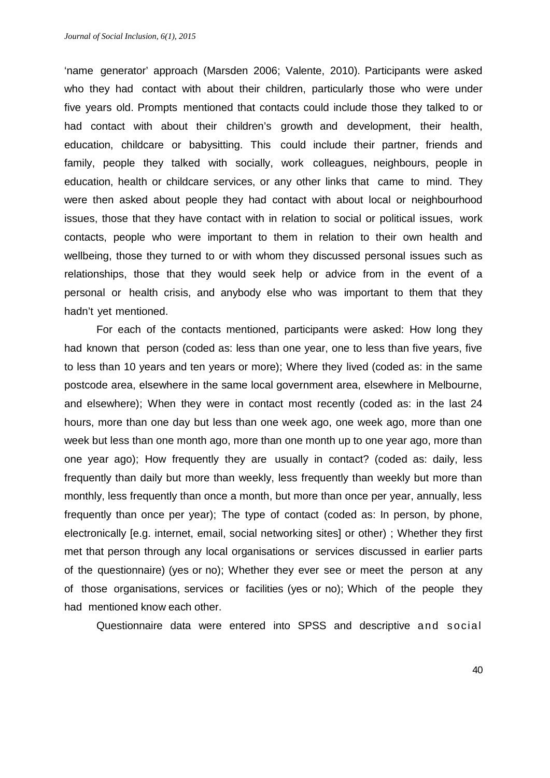'name generator' approach (Marsden 2006; Valente, 2010). Participants were asked who they had contact with about their children, particularly those who were under five years old. Prompts mentioned that contacts could include those they talked to or had contact with about their children's growth and development, their health, education, childcare or babysitting. This could include their partner, friends and family, people they talked with socially, work colleagues, neighbours, people in education, health or childcare services, or any other links that came to mind. They were then asked about people they had contact with about local or neighbourhood issues, those that they have contact with in relation to social or political issues, work contacts, people who were important to them in relation to their own health and wellbeing, those they turned to or with whom they discussed personal issues such as relationships, those that they would seek help or advice from in the event of a personal or health crisis, and anybody else who was important to them that they hadn't yet mentioned.

For each of the contacts mentioned, participants were asked: How long they had known that person (coded as: less than one year, one to less than five years, five to less than 10 years and ten years or more); Where they lived (coded as: in the same postcode area, elsewhere in the same local government area, elsewhere in Melbourne, and elsewhere); When they were in contact most recently (coded as: in the last 24 hours, more than one day but less than one week ago, one week ago, more than one week but less than one month ago, more than one month up to one year ago, more than one year ago); How frequently they are usually in contact? (coded as: daily, less frequently than daily but more than weekly, less frequently than weekly but more than monthly, less frequently than once a month, but more than once per year, annually, less frequently than once per year); The type of contact (coded as: In person, by phone, electronically [e.g. internet, email, social networking sites] or other) ; Whether they first met that person through any local organisations or services discussed in earlier parts of the questionnaire) (yes or no); Whether they ever see or meet the person at any of those organisations, services or facilities (yes or no); Which of the people they had mentioned know each other.

Questionnaire data were entered into SPSS and descriptive and social

40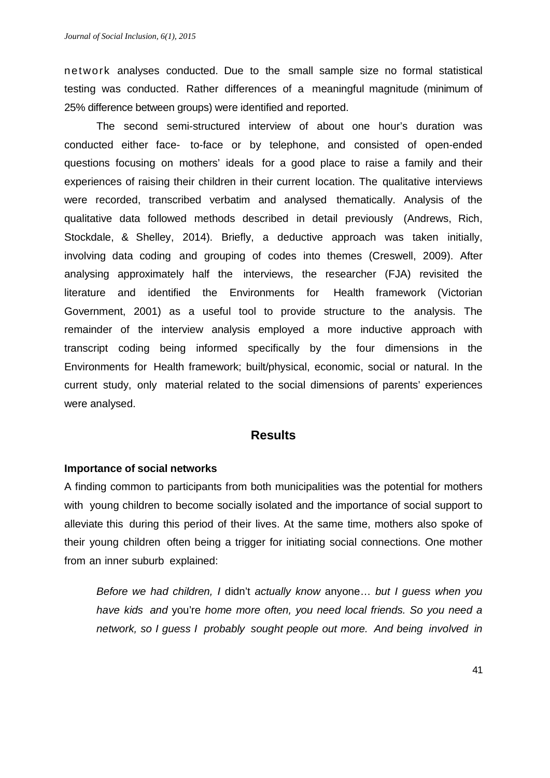network analyses conducted. Due to the small sample size no formal statistical testing was conducted. Rather differences of a meaningful magnitude (minimum of 25% difference between groups) were identified and reported.

The second semi-structured interview of about one hour's duration was conducted either face- to-face or by telephone, and consisted of open-ended questions focusing on mothers' ideals for a good place to raise a family and their experiences of raising their children in their current location. The qualitative interviews were recorded, transcribed verbatim and analysed thematically. Analysis of the qualitative data followed methods described in detail previously (Andrews, Rich, Stockdale, & Shelley, 2014). Briefly, a deductive approach was taken initially, involving data coding and grouping of codes into themes (Creswell, 2009). After analysing approximately half the interviews, the researcher (FJA) revisited the literature and identified the Environments for Health framework (Victorian Government, 2001) as a useful tool to provide structure to the analysis. The remainder of the interview analysis employed a more inductive approach with transcript coding being informed specifically by the four dimensions in the Environments for Health framework; built/physical, economic, social or natural. In the current study, only material related to the social dimensions of parents' experiences were analysed.

#### **Results**

#### **Importance of social networks**

A finding common to participants from both municipalities was the potential for mothers with young children to become socially isolated and the importance of social support to alleviate this during this period of their lives. At the same time, mothers also spoke of their young children often being a trigger for initiating social connections. One mother from an inner suburb explained:

*Before we had children, I* didn't *actually know* anyone… *but I guess when you have kids and* you're *home more often, you need local friends. So you need a network, so I guess I probably sought people out more. And being involved in*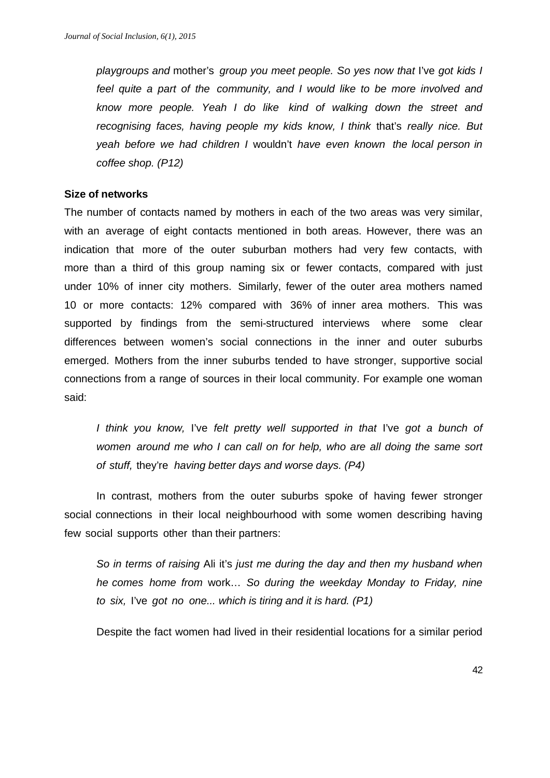*playgroups and* mother's *group you meet people. So yes now that* I've *got kids I feel quite a part of the community, and I would like to be more involved and know more people. Yeah I do like kind of walking down the street and recognising faces, having people my kids know, I think* that's *really nice. But yeah before we had children I* wouldn't *have even known the local person in coffee shop. (P12)*

#### **Size of networks**

The number of contacts named by mothers in each of the two areas was very similar, with an average of eight contacts mentioned in both areas. However, there was an indication that more of the outer suburban mothers had very few contacts, with more than a third of this group naming six or fewer contacts, compared with just under 10% of inner city mothers. Similarly, fewer of the outer area mothers named 10 or more contacts: 12% compared with 36% of inner area mothers. This was supported by findings from the semi-structured interviews where some clear differences between women's social connections in the inner and outer suburbs emerged. Mothers from the inner suburbs tended to have stronger, supportive social connections from a range of sources in their local community. For example one woman said:

*I think you know,* I've *felt pretty well supported in that* I've *got a bunch of women around me who I can call on for help, who are all doing the same sort of stuff,* they're *having better days and worse days. (P4)*

In contrast, mothers from the outer suburbs spoke of having fewer stronger social connections in their local neighbourhood with some women describing having few social supports other than their partners:

*So in terms of raising* Ali it's *just me during the day and then my husband when he comes home from* work… *So during the weekday Monday to Friday, nine to six,* I've *got no one... which is tiring and it is hard. (P1)*

Despite the fact women had lived in their residential locations for a similar period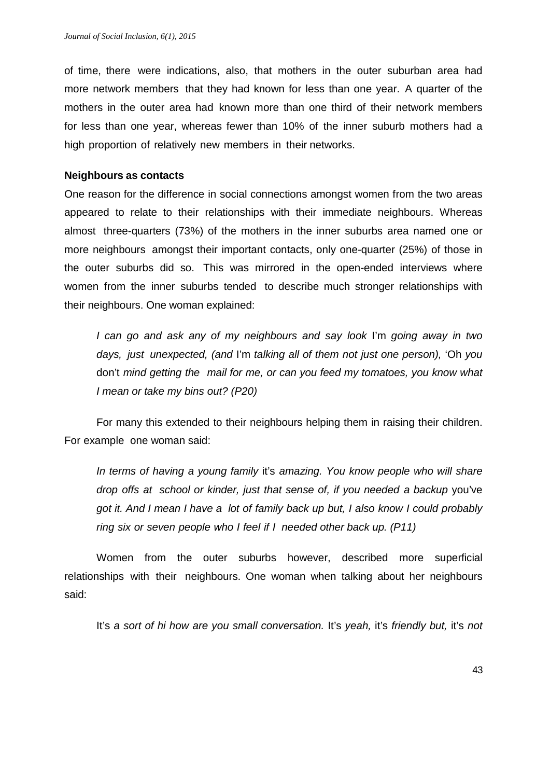of time, there were indications, also, that mothers in the outer suburban area had more network members that they had known for less than one year. A quarter of the mothers in the outer area had known more than one third of their network members for less than one year, whereas fewer than 10% of the inner suburb mothers had a high proportion of relatively new members in their networks.

#### **Neighbours as contacts**

One reason for the difference in social connections amongst women from the two areas appeared to relate to their relationships with their immediate neighbours. Whereas almost three-quarters (73%) of the mothers in the inner suburbs area named one or more neighbours amongst their important contacts, only one-quarter (25%) of those in the outer suburbs did so. This was mirrored in the open-ended interviews where women from the inner suburbs tended to describe much stronger relationships with their neighbours. One woman explained:

*I can go and ask any of my neighbours and say look* I'm *going away in two days, just unexpected, (and* I'm *talking all of them not just one person),* 'Oh *you*  don't *mind getting the mail for me, or can you feed my tomatoes, you know what I mean or take my bins out? (P20)*

For many this extended to their neighbours helping them in raising their children. For example one woman said:

*In terms of having a young family* it's *amazing. You know people who will share drop offs at school or kinder, just that sense of, if you needed a backup* you've *got it. And I mean I have a lot of family back up but, I also know I could probably ring six or seven people who I feel if I needed other back up. (P11)*

Women from the outer suburbs however, described more superficial relationships with their neighbours. One woman when talking about her neighbours said:

It's *a sort of hi how are you small conversation.* It's *yeah,* it's *friendly but,* it's *not*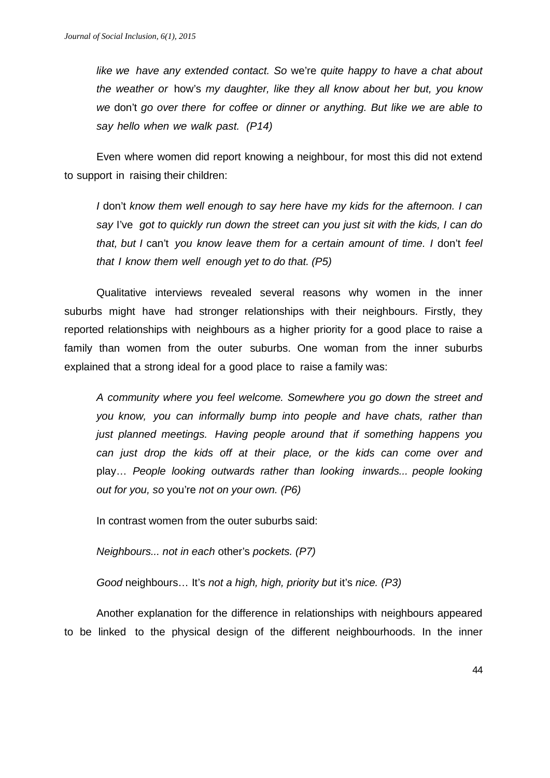*like we have any extended contact. So* we're *quite happy to have a chat about the weather or* how's *my daughter, like they all know about her but, you know we* don't *go over there for coffee or dinner or anything. But like we are able to say hello when we walk past. (P14)*

Even where women did report knowing a neighbour, for most this did not extend to support in raising their children:

*I* don't *know them well enough to say here have my kids for the afternoon. I can say* I've *got to quickly run down the street can you just sit with the kids, I can do that, but I* can't *you know leave them for a certain amount of time. I* don't *feel that I know them well enough yet to do that. (P5)*

Qualitative interviews revealed several reasons why women in the inner suburbs might have had stronger relationships with their neighbours. Firstly, they reported relationships with neighbours as a higher priority for a good place to raise a family than women from the outer suburbs. One woman from the inner suburbs explained that a strong ideal for a good place to raise a family was:

*A community where you feel welcome. Somewhere you go down the street and you know, you can informally bump into people and have chats, rather than just planned meetings. Having people around that if something happens you can just drop the kids off at their place, or the kids can come over and*  play… *People looking outwards rather than looking inwards... people looking out for you, so* you're *not on your own. (P6)*

In contrast women from the outer suburbs said:

*Neighbours... not in each* other's *pockets. (P7)*

*Good* neighbours… It's *not a high, high, priority but* it's *nice. (P3)*

Another explanation for the difference in relationships with neighbours appeared to be linked to the physical design of the different neighbourhoods. In the inner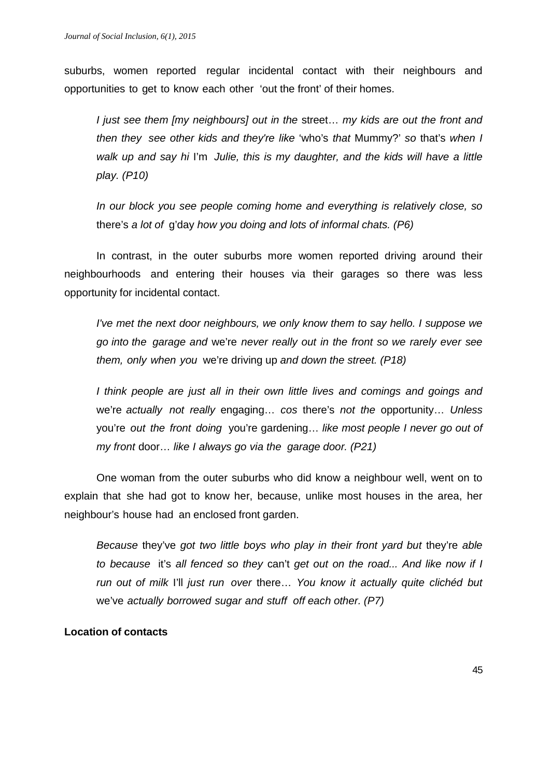suburbs, women reported regular incidental contact with their neighbours and opportunities to get to know each other 'out the front' of their homes.

*I just see them [my neighbours] out in the* street… *my kids are out the front and then they see other kids and they're like* 'who's *that* Mummy?' *so* that's *when I walk up and say hi* I'm *Julie, this is my daughter, and the kids will have a little play. (P10)*

*In our block you see people coming home and everything is relatively close, so*  there's *a lot of* g'day *how you doing and lots of informal chats. (P6)*

In contrast, in the outer suburbs more women reported driving around their neighbourhoods and entering their houses via their garages so there was less opportunity for incidental contact.

*I've met the next door neighbours, we only know them to say hello. I suppose we go into the garage and* we're *never really out in the front so we rarely ever see them, only when you* we're driving up *and down the street. (P18)*

*I think people are just all in their own little lives and comings and goings and*  we're *actually not really* engaging… *cos* there's *not the* opportunity… *Unless* you're *out the front doing* you're gardening… *like most people I never go out of my front* door… *like I always go via the garage door. (P21)*

One woman from the outer suburbs who did know a neighbour well, went on to explain that she had got to know her, because, unlike most houses in the area, her neighbour's house had an enclosed front garden.

*Because* they've *got two little boys who play in their front yard but* they're *able to because* it's *all fenced so they* can't *get out on the road... And like now if I run out of milk* I'll *just run over* there… *You know it actually quite clichéd but*  we've *actually borrowed sugar and stuff off each other. (P7)*

#### **Location of contacts**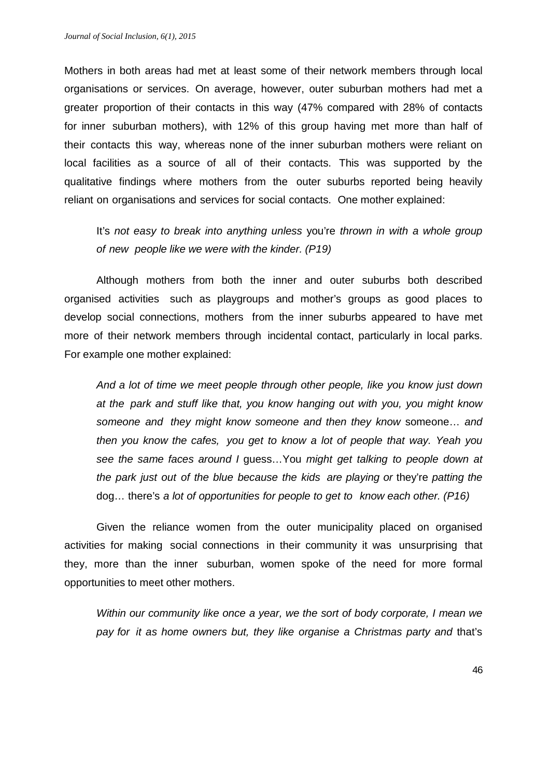Mothers in both areas had met at least some of their network members through local organisations or services. On average, however, outer suburban mothers had met a greater proportion of their contacts in this way (47% compared with 28% of contacts for inner suburban mothers), with 12% of this group having met more than half of their contacts this way, whereas none of the inner suburban mothers were reliant on local facilities as a source of all of their contacts. This was supported by the qualitative findings where mothers from the outer suburbs reported being heavily reliant on organisations and services for social contacts. One mother explained:

It's *not easy to break into anything unless* you're *thrown in with a whole group of new people like we were with the kinder. (P19)*

Although mothers from both the inner and outer suburbs both described organised activities such as playgroups and mother's groups as good places to develop social connections, mothers from the inner suburbs appeared to have met more of their network members through incidental contact, particularly in local parks. For example one mother explained:

*And a lot of time we meet people through other people, like you know just down at the park and stuff like that, you know hanging out with you, you might know someone and they might know someone and then they know* someone… *and then you know the cafes, you get to know a lot of people that way. Yeah you see the same faces around I* guess…You *might get talking to people down at the park just out of the blue because the kids are playing or* they're *patting the*  dog… there's *a lot of opportunities for people to get to know each other. (P16)*

Given the reliance women from the outer municipality placed on organised activities for making social connections in their community it was unsurprising that they, more than the inner suburban, women spoke of the need for more formal opportunities to meet other mothers.

*Within our community like once a year, we the sort of body corporate, I mean we pay for it as home owners but, they like organise a Christmas party and* that's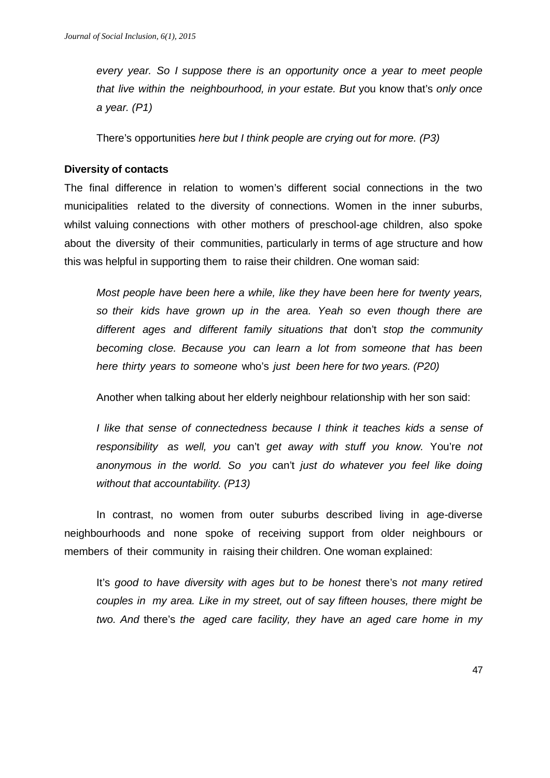*every year. So I suppose there is an opportunity once a year to meet people that live within the neighbourhood, in your estate. But* you know that's *only once a year. (P1)*

There's opportunities *here but I think people are crying out for more. (P3)*

#### **Diversity of contacts**

The final difference in relation to women's different social connections in the two municipalities related to the diversity of connections. Women in the inner suburbs, whilst valuing connections with other mothers of preschool-age children, also spoke about the diversity of their communities, particularly in terms of age structure and how this was helpful in supporting them to raise their children. One woman said:

*Most people have been here a while, like they have been here for twenty years, so their kids have grown up in the area. Yeah so even though there are different ages and different family situations that* don't *stop the community becoming close. Because you can learn a lot from someone that has been here thirty years to someone* who's *just been here for two years. (P20)*

Another when talking about her elderly neighbour relationship with her son said:

*I like that sense of connectedness because I think it teaches kids a sense of responsibility as well, you* can't *get away with stuff you know.* You're *not anonymous in the world. So you* can't *just do whatever you feel like doing without that accountability. (P13)*

In contrast, no women from outer suburbs described living in age-diverse neighbourhoods and none spoke of receiving support from older neighbours or members of their community in raising their children. One woman explained:

It's *good to have diversity with ages but to be honest* there's *not many retired couples in my area. Like in my street, out of say fifteen houses, there might be two. And* there's *the aged care facility, they have an aged care home in my*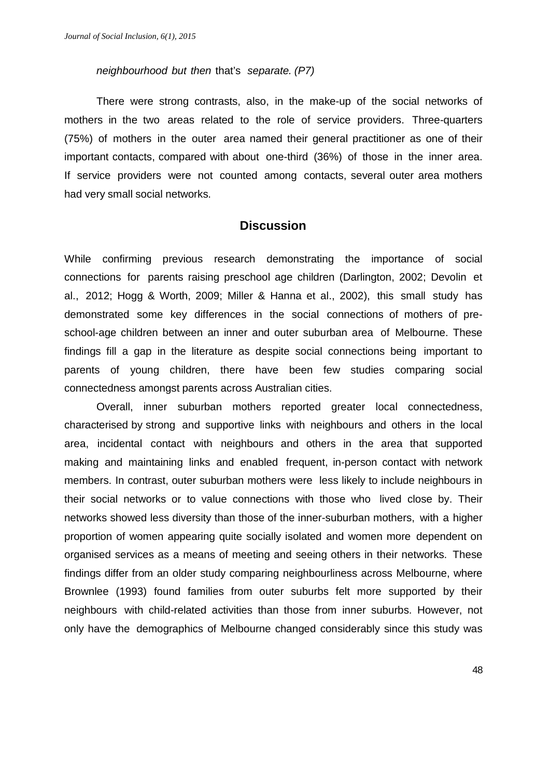#### *neighbourhood but then* that's *separate. (P7)*

There were strong contrasts, also, in the make-up of the social networks of mothers in the two areas related to the role of service providers. Three-quarters (75%) of mothers in the outer area named their general practitioner as one of their important contacts, compared with about one-third (36%) of those in the inner area. If service providers were not counted among contacts, several outer area mothers had very small social networks.

#### **Discussion**

While confirming previous research demonstrating the importance of social connections for parents raising preschool age children (Darlington, 2002; Devolin et al., 2012; Hogg & Worth, 2009; Miller & Hanna et al., 2002), this small study has demonstrated some key differences in the social connections of mothers of preschool-age children between an inner and outer suburban area of Melbourne. These findings fill a gap in the literature as despite social connections being important to parents of young children, there have been few studies comparing social connectedness amongst parents across Australian cities.

Overall, inner suburban mothers reported greater local connectedness, characterised by strong and supportive links with neighbours and others in the local area, incidental contact with neighbours and others in the area that supported making and maintaining links and enabled frequent, in-person contact with network members. In contrast, outer suburban mothers were less likely to include neighbours in their social networks or to value connections with those who lived close by. Their networks showed less diversity than those of the inner-suburban mothers, with a higher proportion of women appearing quite socially isolated and women more dependent on organised services as a means of meeting and seeing others in their networks. These findings differ from an older study comparing neighbourliness across Melbourne, where Brownlee (1993) found families from outer suburbs felt more supported by their neighbours with child-related activities than those from inner suburbs. However, not only have the demographics of Melbourne changed considerably since this study was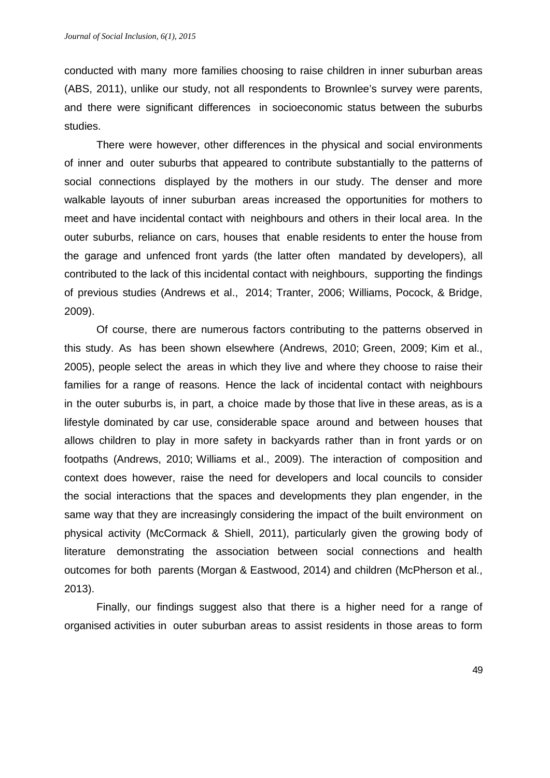conducted with many more families choosing to raise children in inner suburban areas (ABS, 2011), unlike our study, not all respondents to Brownlee's survey were parents, and there were significant differences in socioeconomic status between the suburbs studies.

There were however, other differences in the physical and social environments of inner and outer suburbs that appeared to contribute substantially to the patterns of social connections displayed by the mothers in our study. The denser and more walkable layouts of inner suburban areas increased the opportunities for mothers to meet and have incidental contact with neighbours and others in their local area. In the outer suburbs, reliance on cars, houses that enable residents to enter the house from the garage and unfenced front yards (the latter often mandated by developers), all contributed to the lack of this incidental contact with neighbours, supporting the findings of previous studies (Andrews et al., 2014; Tranter, 2006; Williams, Pocock, & Bridge, 2009).

Of course, there are numerous factors contributing to the patterns observed in this study. As has been shown elsewhere (Andrews, 2010; Green, 2009; Kim et al., 2005), people select the areas in which they live and where they choose to raise their families for a range of reasons. Hence the lack of incidental contact with neighbours in the outer suburbs is, in part, a choice made by those that live in these areas, as is a lifestyle dominated by car use, considerable space around and between houses that allows children to play in more safety in backyards rather than in front yards or on footpaths (Andrews, 2010; Williams et al., 2009). The interaction of composition and context does however, raise the need for developers and local councils to consider the social interactions that the spaces and developments they plan engender, in the same way that they are increasingly considering the impact of the built environment on physical activity (McCormack & Shiell, 2011), particularly given the growing body of literature demonstrating the association between social connections and health outcomes for both parents (Morgan & Eastwood, 2014) and children (McPherson et al., 2013).

Finally, our findings suggest also that there is a higher need for a range of organised activities in outer suburban areas to assist residents in those areas to form

49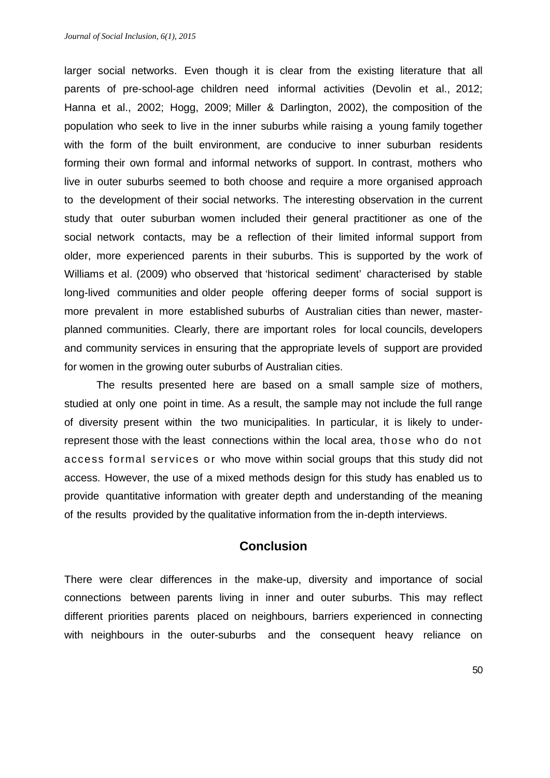larger social networks. Even though it is clear from the existing literature that all parents of pre-school-age children need informal activities (Devolin et al., 2012; Hanna et al., 2002; Hogg, 2009; Miller & Darlington, 2002), the composition of the population who seek to live in the inner suburbs while raising a young family together with the form of the built environment, are conducive to inner suburban residents forming their own formal and informal networks of support. In contrast, mothers who live in outer suburbs seemed to both choose and require a more organised approach to the development of their social networks. The interesting observation in the current study that outer suburban women included their general practitioner as one of the social network contacts, may be a reflection of their limited informal support from older, more experienced parents in their suburbs. This is supported by the work of Williams et al. (2009) who observed that 'historical sediment' characterised by stable long-lived communities and older people offering deeper forms of social support is more prevalent in more established suburbs of Australian cities than newer, masterplanned communities. Clearly, there are important roles for local councils, developers and community services in ensuring that the appropriate levels of support are provided for women in the growing outer suburbs of Australian cities.

The results presented here are based on a small sample size of mothers, studied at only one point in time. As a result, the sample may not include the full range of diversity present within the two municipalities. In particular, it is likely to underrepresent those with the least connections within the local area, those who do not access formal services or who move within social groups that this study did not access. However, the use of a mixed methods design for this study has enabled us to provide quantitative information with greater depth and understanding of the meaning of the results provided by the qualitative information from the in-depth interviews.

# **Conclusion**

There were clear differences in the make-up, diversity and importance of social connections between parents living in inner and outer suburbs. This may reflect different priorities parents placed on neighbours, barriers experienced in connecting with neighbours in the outer-suburbs and the consequent heavy reliance on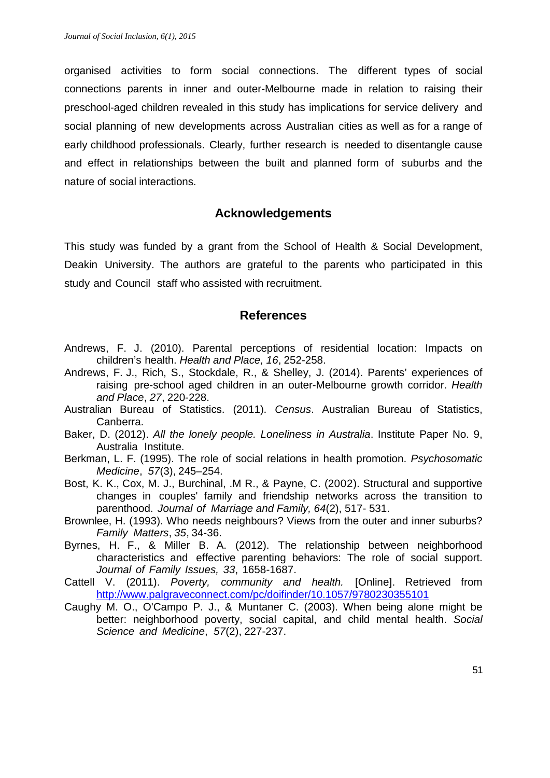organised activities to form social connections. The different types of social connections parents in inner and outer-Melbourne made in relation to raising their preschool-aged children revealed in this study has implications for service delivery and social planning of new developments across Australian cities as well as for a range of early childhood professionals. Clearly, further research is needed to disentangle cause and effect in relationships between the built and planned form of suburbs and the nature of social interactions.

## **Acknowledgements**

This study was funded by a grant from the School of Health & Social Development, Deakin University. The authors are grateful to the parents who participated in this study and Council staff who assisted with recruitment.

## **References**

- Andrews, F. J. (2010). Parental perceptions of residential location: Impacts on children's health. *Health and Place, 16*, 252-258.
- Andrews, F. J., Rich, S., Stockdale, R., & Shelley, J. (2014). Parents' experiences of raising pre-school aged children in an outer-Melbourne growth corridor. *Health and Place*, *27*, 220-228.
- Australian Bureau of Statistics. (2011). *Census*. Australian Bureau of Statistics, Canberra.
- Baker, D. (2012). *All the lonely people. Loneliness in Australia*. Institute Paper No. 9, Australia Institute.
- Berkman, L. F. (1995). The role of social relations in health promotion. *Psychosomatic Medicine*, *57*(3), 245–254.
- Bost, K. K., Cox, M. J., Burchinal, .M R., & Payne, C. (2002). Structural and supportive changes in couples' family and friendship networks across the transition to parenthood. *Journal of Marriage and Family, 64*(2), 517- 531.
- Brownlee, H. (1993). Who needs neighbours? Views from the outer and inner suburbs? *Family Matters*, *35*, 34-36.
- Byrnes, H. F., & Miller B. A. (2012). The relationship between neighborhood characteristics and effective parenting behaviors: The role of social support. *Journal of Family Issues, 33*, 1658-1687.
- Cattell V. (2011). *Poverty, community and health.* [Online]. Retrieved from http://www.palgraveconnect.com/pc/doifinder/10.1057/9780230355101
- Caughy M. O., O'Campo P. J., & Muntaner C. (2003). When being alone might be better: neighborhood poverty, social capital, and child mental health. *Social Science and Medicine*, *57*(2), 227-237.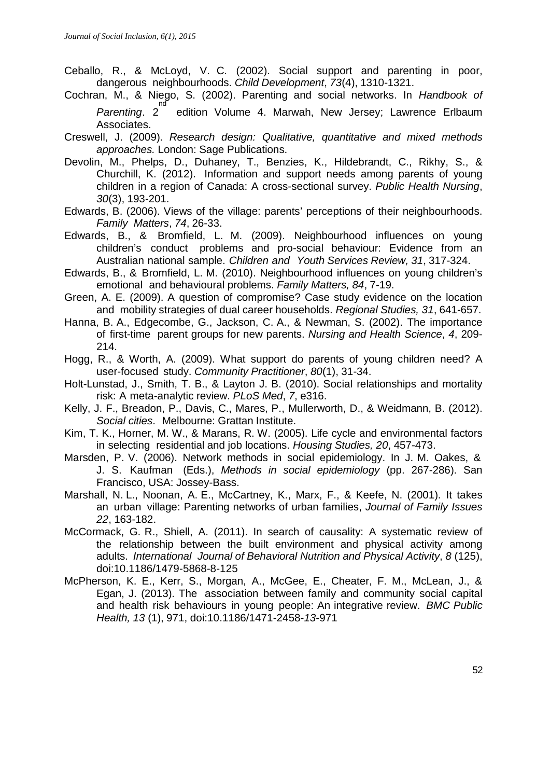- Ceballo, R., & McLoyd, V. C. (2002). Social support and parenting in poor, dangerous neighbourhoods. *Child Development*, *73*(4), 1310-1321.
- Cochran, M., & Niego, S. (2002). Parenting and social networks. In *Handbook of*  <sup>nd</sup><br>Parenting. 2 edition Volume 4. Marwah, New Jersey; Lawrence Erlbaum Associates.
- Creswell, J. (2009). *Research design: Qualitative, quantitative and mixed methods approaches.* London: Sage Publications.
- Devolin, M., Phelps, D., Duhaney, T., Benzies, K., Hildebrandt, C., Rikhy, S., & Churchill, K. (2012). Information and support needs among parents of young children in a region of Canada: A cross-sectional survey. *Public Health Nursing*, *30*(3), 193-201.
- Edwards, B. (2006). Views of the village: parents' perceptions of their neighbourhoods. *Family Matters*, *74*, 26-33.
- Edwards, B., & Bromfield, L. M. (2009). Neighbourhood influences on young children's conduct problems and pro-social behaviour: Evidence from an Australian national sample. *Children and Youth Services Review, 31*, 317-324.
- Edwards, B., & Bromfield, L. M. (2010). Neighbourhood influences on young children's emotional and behavioural problems. *Family Matters, 84*, 7-19.
- Green, A. E. (2009). A question of compromise? Case study evidence on the location and mobility strategies of dual career households. *Regional Studies, 31*, 641-657.
- Hanna, B. A., Edgecombe, G., Jackson, C. A., & Newman, S. (2002). The importance of first-time parent groups for new parents. *Nursing and Health Science*, *4*, 209- 214.
- Hogg, R., & Worth, A. (2009). What support do parents of young children need? A user-focused study. *Community Practitioner*, *80*(1), 31-34.
- Holt-Lunstad, J., Smith, T. B., & Layton J. B. (2010). Social relationships and mortality risk: A meta-analytic review. *PLoS Med*, *7*, e316.
- Kelly, J. F., Breadon, P., Davis, C., Mares, P., Mullerworth, D., & Weidmann, B. (2012). *Social cities*. Melbourne: Grattan Institute.
- Kim, T. K., Horner, M. W., & Marans, R. W. (2005). Life cycle and environmental factors in selecting residential and job locations. *Housing Studies, 20*, 457-473.
- Marsden, P. V. (2006). Network methods in social epidemiology. In J. M. Oakes, & J. S. Kaufman (Eds.), *Methods in social epidemiology* (pp. 267-286). San Francisco, USA: Jossey-Bass.
- Marshall, N. L., Noonan, A. E., McCartney, K., Marx, F., & Keefe, N. (2001). It takes an urban village: Parenting networks of urban families, *Journal of Family Issues 22*, 163-182.
- McCormack, G. R., Shiell, A. (2011). In search of causality: A systematic review of the relationship between the built environment and physical activity among adults. *International Journal of Behavioral Nutrition and Physical Activity*, *8* (125), doi:10.1186/1479-5868-8-125
- McPherson, K. E., Kerr, S., Morgan, A., McGee, E., Cheater, F. M., McLean, J., & Egan, J. (2013). The association between family and community social capital and health risk behaviours in young people: An integrative review. *BMC Public Health, 13* (1), 971, doi:10.1186/1471-2458-*13*-971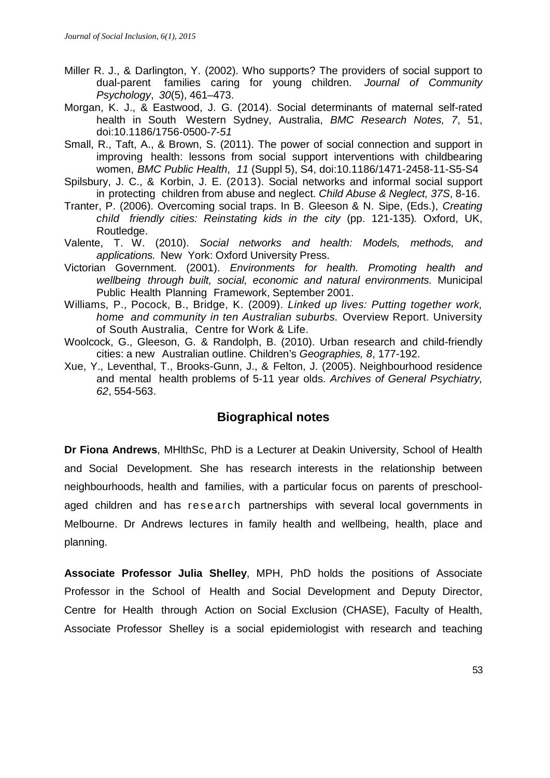- Miller R. J., & Darlington, Y. (2002). Who supports? The providers of social support to dual-parent families caring for young children. *Journal of Community Psychology*, *30*(5), 461–473.
- Morgan, K. J., & Eastwood, J. G. (2014). Social determinants of maternal self-rated health in South Western Sydney, Australia, *BMC Research Notes, 7*, 51, doi:10.1186/1756-0500-*7*-*51*
- Small, R., Taft, A., & Brown, S. (2011). The power of social connection and support in improving health: lessons from social support interventions with childbearing women, *BMC Public Health*, *11* (Suppl 5), S4, doi:10.1186/1471-2458-11-S5-S4
- Spilsbury, J. C., & Korbin, J. E. (2013). Social networks and informal social support in protecting children from abuse and neglect. *Child Abuse & Neglect, 37S*, 8-16.
- Tranter, P. (2006). Overcoming social traps. In B. Gleeson & N. Sipe, (Eds.), *Creating child friendly cities: Reinstating kids in the city* (pp. 121-135)*.* Oxford, UK, Routledge.
- Valente, T. W. (2010). *Social networks and health: Models, methods, and applications.* New York: Oxford University Press.
- Victorian Government. (2001). *Environments for health. Promoting health and wellbeing through built, social, economic and natural environments.* Municipal Public Health Planning Framework, September 2001.
- Williams, P., Pocock, B., Bridge, K. (2009). *Linked up lives: Putting together work, home and community in ten Australian suburbs.* Overview Report. University of South Australia, Centre for Work & Life.
- Woolcock, G., Gleeson, G. & Randolph, B. (2010). Urban research and child-friendly cities: a new Australian outline. Children's *Geographies, 8*, 177-192.
- Xue, Y., Leventhal, T., Brooks-Gunn, J., & Felton, J. (2005). Neighbourhood residence and mental health problems of 5-11 year olds. *Archives of General Psychiatry, 62*, 554-563.

# **Biographical notes**

**Dr Fiona Andrews**, MHlthSc, PhD is a Lecturer at Deakin University, School of Health and Social Development. She has research interests in the relationship between neighbourhoods, health and families, with a particular focus on parents of preschoolaged children and has research partnerships with several local governments in Melbourne. Dr Andrews lectures in family health and wellbeing, health, place and planning.

**Associate Professor Julia Shelley**, MPH, PhD holds the positions of Associate Professor in the School of Health and Social Development and Deputy Director, Centre for Health through Action on Social Exclusion (CHASE), Faculty of Health, Associate Professor Shelley is a social epidemiologist with research and teaching